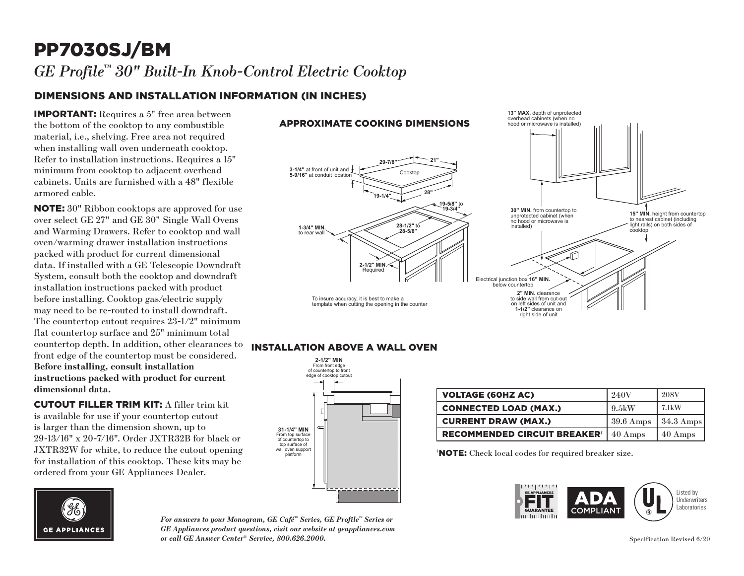## PP7030SJ/BM *GE Profile™ 30" Built-In Knob-Control Electric Cooktop*

## DIMENSIONS AND INSTALLATION INFORMATION (IN INCHES)

IMPORTANT: Requires a 5" free area between the bottom of the cooktop to any combustible material, i.e., shelving. Free area not required when installing wall oven underneath cooktop. Refer to installation instructions. Requires a 15" minimum from cooktop to adjacent overhead cabinets. Units are furnished with a 48" flexible armored cable.

NOTE: 30" Ribbon cooktops are approved for use over select GE 27" and GE 30" Single Wall Ovens and Warming Drawers. Refer to cooktop and wall oven/warming drawer installation instructions packed with product for current dimensional data. If installed with a GE Telescopic Downdraft System, consult both the cooktop and downdraft installation instructions packed with product before installing. Cooktop gas/electric supply may need to be re-routed to install downdraft. The countertop cutout requires 23-1/2" minimum flat countertop surface and 25" minimum total countertop depth. In addition, other clearances to front edge of the countertop must be considered. **Before installing, consult installation instructions packed with product for current dimensional data.** 

CUTOUT FILLER TRIM KIT: A filler trim kit is available for use if your countertop cutout is larger than the dimension shown, up to 29-13/16" x 20-7/16". Order JXTR32B for black or JXTR32W for white, to reduce the cutout opening for installation of this cooktop. These kits may be ordered from your GE Appliances Dealer.



#### *For answers to your Monogram, GE Café™ Series, GE Profile™ Series or GE Appliances product questions, visit our website at geappliances.com or call GE Answer Center® Service, 800.626.2000.*

#### APPROXIMATE COOKING DIMENSIONS



**13" MAX.** depth of unprotected overhead cabinets (when no

### **INSTALLATION ABOVE A WALL OVEN**



| <b>VOLTAGE (60HZ AC)</b>                       | 240V                | <b>208V</b>           |
|------------------------------------------------|---------------------|-----------------------|
| <b>CONNECTED LOAD (MAX.)</b>                   | $9.5 \mathrm{kW}$   | 7.1kW                 |
| <b>CURRENT DRAW (MAX.)</b>                     | $39.6 \text{ Amps}$ | $ 34.3 \text{ Amps} $ |
| <b>RECOMMENDED CIRCUIT BREAKER<sup>®</sup></b> | 40 Amps             | 40 Amps               |

† NOTE: Check local codes for required breaker size.